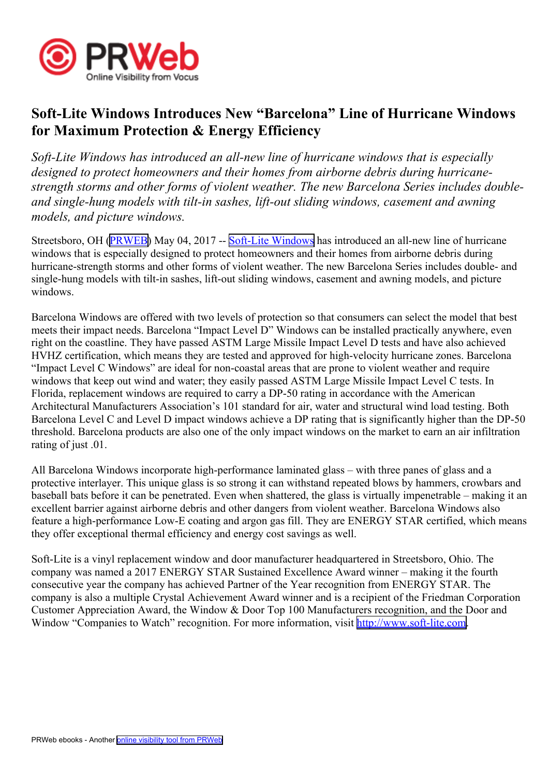

## **Soft-Lite Windows Introduces New "Barcelona" Line of Hurricane Windows for Maximum Protection & Energy Efficiency**

*Soft-Lite Windows has introduced an all-new line of hurricane windows that is especially designed to protect homeowners and their homes from airborne debris during hurricanestrength storms and other forms of violent weather. The new Barcelona Series includes doubleand single-hung models with tilt-in sashes, lift-out sliding windows, casement and awning models, and picture windows.*

Streetsboro, OH ([PRWEB](http://www.prweb.com)) May 04, 2017 -- Soft-Lite [Windows](http://www.soft-lite.com) has introduced an all-new line of hurricane windows that is especially designed to protect homeowners and their homes from airborne debris during hurricane-strength storms and other forms of violent weather. The new Barcelona Series includes double- and single-hung models with tilt-in sashes, lift-out sliding windows, casement and awning models, and picture windows.

Barcelona Windows are offered with two levels of protection so that consumers can select the model that best meets their impact needs. Barcelona "Impact Level D" Windows can be installed practically anywhere, even right on the coastline. They have passed ASTM Large Missile Impact Level D tests and have also achieved HVHZ certification, which means they are tested and approved for high-velocity hurricane zones. Barcelona "Impact Level C Windows" are ideal for non-coastal areas that are prone to violent weather and require windows that keep out wind and water; they easily passed ASTM Large Missile Impact Level C tests. In Florida, replacement windows are required to carry <sup>a</sup> DP-50 rating in accordance with the American Architectural Manufacturers Association's 101 standard for air, water and structural wind load testing. Both Barcelona Level C and Level D impact windows achieve <sup>a</sup> DP rating that is significantly higher than the DP-50 threshold. Barcelona products are also one of the only impact windows on the market to earn an air infiltration rating of just .01.

All Barcelona Windows incorporate high-performance laminated glass – with three panes of glass and <sup>a</sup> protective interlayer. This unique glass is so strong it can withstand repeated blows by hammers, crowbars and baseball bats before it can be penetrated. Even when shattered, the glass is virtually impenetrable – making it an excellent barrier against airborne debris and other dangers from violent weather. Barcelona Windows also feature <sup>a</sup> high-performance Low-E coating and argon gas fill. They are ENERGY STAR certified, which means they offer exceptional thermal efficiency and energy cost savings as well.

Soft-Lite is <sup>a</sup> vinyl replacement window and door manufacturer headquartered in Streetsboro, Ohio. The company was named <sup>a</sup> 2017 ENERGY STAR Sustained Excellence Award winner – making it the fourth consecutive year the company has achieved Partner of the Year recognition from ENERGY STAR. The company is also <sup>a</sup> multiple Crystal Achievement Award winner and is <sup>a</sup> recipient of the Friedman Corporation Customer Appreciation Award, the Window & Door Top 100 Manufacturers recognition, and the Door and Window "Companies to Watch" recognition. For more information, visit <http://www.soft-lite.com>.